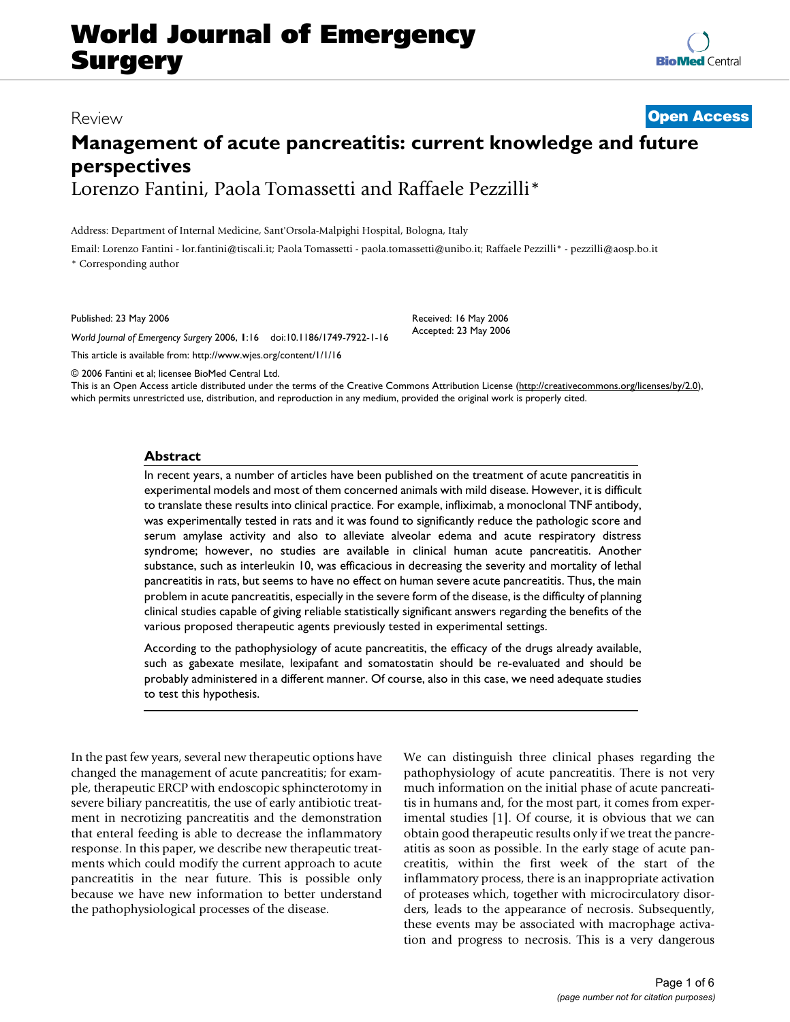# **World Journal of Emergency Surgery**

## Review **[Open Access](http://www.biomedcentral.com/info/about/charter/)**

### Address: Department of Internal Medicine, Sant'Orsola-Malpighi Hospital, Bologna, Italy

Email: Lorenzo Fantini - lor.fantini@tiscali.it; Paola Tomassetti - paola.tomassetti@unibo.it; Raffaele Pezzilli\* - pezzilli@aosp.bo.it \* Corresponding author

Published: 23 May 2006

*World Journal of Emergency Surgery* 2006, **1**:16 doi:10.1186/1749-7922-1-16

[This article is available from: http://www.wjes.org/content/1/1/16](http://www.wjes.org/content/1/1/16)

© 2006 Fantini et al; licensee BioMed Central Ltd.

This is an Open Access article distributed under the terms of the Creative Commons Attribution License [\(http://creativecommons.org/licenses/by/2.0\)](http://creativecommons.org/licenses/by/2.0), which permits unrestricted use, distribution, and reproduction in any medium, provided the original work is properly cited.

Received: 16 May 2006 Accepted: 23 May 2006

#### **Abstract**

In recent years, a number of articles have been published on the treatment of acute pancreatitis in experimental models and most of them concerned animals with mild disease. However, it is difficult to translate these results into clinical practice. For example, infliximab, a monoclonal TNF antibody, was experimentally tested in rats and it was found to significantly reduce the pathologic score and serum amylase activity and also to alleviate alveolar edema and acute respiratory distress syndrome; however, no studies are available in clinical human acute pancreatitis. Another substance, such as interleukin 10, was efficacious in decreasing the severity and mortality of lethal pancreatitis in rats, but seems to have no effect on human severe acute pancreatitis. Thus, the main problem in acute pancreatitis, especially in the severe form of the disease, is the difficulty of planning clinical studies capable of giving reliable statistically significant answers regarding the benefits of the various proposed therapeutic agents previously tested in experimental settings.

According to the pathophysiology of acute pancreatitis, the efficacy of the drugs already available, such as gabexate mesilate, lexipafant and somatostatin should be re-evaluated and should be probably administered in a different manner. Of course, also in this case, we need adequate studies to test this hypothesis.

In the past few years, several new therapeutic options have changed the management of acute pancreatitis; for example, therapeutic ERCP with endoscopic sphincterotomy in severe biliary pancreatitis, the use of early antibiotic treatment in necrotizing pancreatitis and the demonstration that enteral feeding is able to decrease the inflammatory response. In this paper, we describe new therapeutic treatments which could modify the current approach to acute pancreatitis in the near future. This is possible only because we have new information to better understand the pathophysiological processes of the disease.

We can distinguish three clinical phases regarding the pathophysiology of acute pancreatitis. There is not very much information on the initial phase of acute pancreatitis in humans and, for the most part, it comes from experimental studies [1]. Of course, it is obvious that we can obtain good therapeutic results only if we treat the pancreatitis as soon as possible. In the early stage of acute pancreatitis, within the first week of the start of the inflammatory process, there is an inappropriate activation of proteases which, together with microcirculatory disorders, leads to the appearance of necrosis. Subsequently, these events may be associated with macrophage activation and progress to necrosis. This is a very dangerous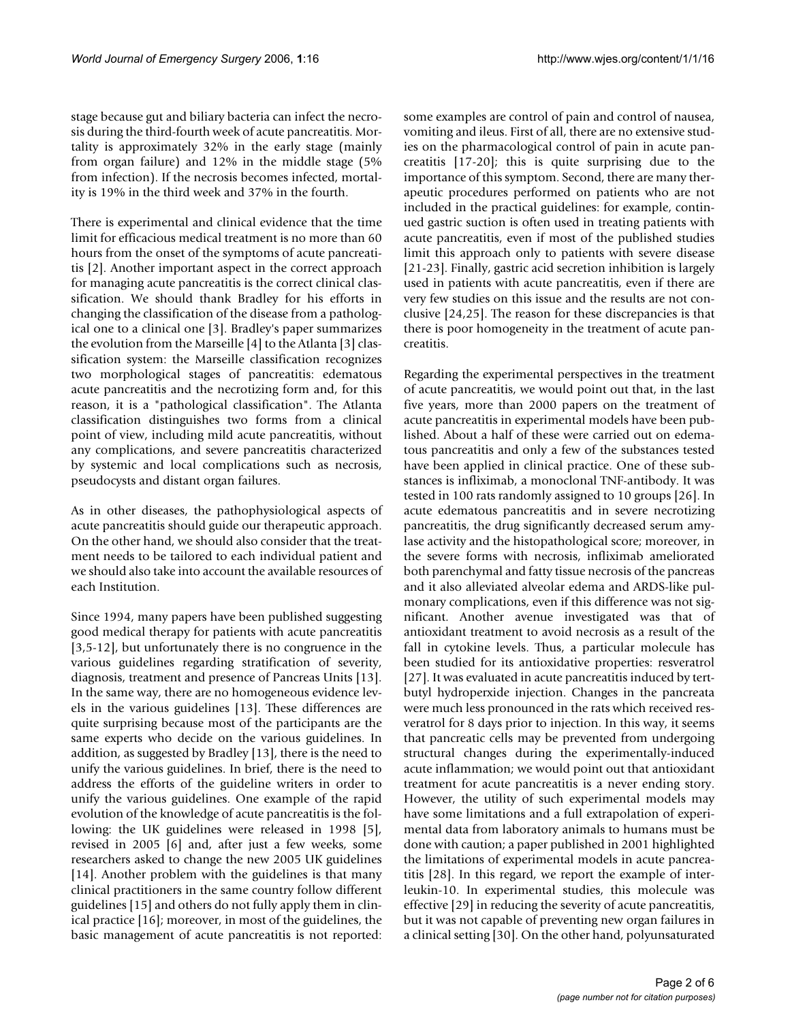stage because gut and biliary bacteria can infect the necrosis during the third-fourth week of acute pancreatitis. Mortality is approximately 32% in the early stage (mainly from organ failure) and 12% in the middle stage (5% from infection). If the necrosis becomes infected, mortality is 19% in the third week and 37% in the fourth.

There is experimental and clinical evidence that the time limit for efficacious medical treatment is no more than 60 hours from the onset of the symptoms of acute pancreatitis [2]. Another important aspect in the correct approach for managing acute pancreatitis is the correct clinical classification. We should thank Bradley for his efforts in changing the classification of the disease from a pathological one to a clinical one [3]. Bradley's paper summarizes the evolution from the Marseille [4] to the Atlanta [3] classification system: the Marseille classification recognizes two morphological stages of pancreatitis: edematous acute pancreatitis and the necrotizing form and, for this reason, it is a "pathological classification". The Atlanta classification distinguishes two forms from a clinical point of view, including mild acute pancreatitis, without any complications, and severe pancreatitis characterized by systemic and local complications such as necrosis, pseudocysts and distant organ failures.

As in other diseases, the pathophysiological aspects of acute pancreatitis should guide our therapeutic approach. On the other hand, we should also consider that the treatment needs to be tailored to each individual patient and we should also take into account the available resources of each Institution.

Since 1994, many papers have been published suggesting good medical therapy for patients with acute pancreatitis [3[,5-](#page-4-0)12], but unfortunately there is no congruence in the various guidelines regarding stratification of severity, diagnosis, treatment and presence of Pancreas Units [13]. In the same way, there are no homogeneous evidence levels in the various guidelines [13]. These differences are quite surprising because most of the participants are the same experts who decide on the various guidelines. In addition, as suggested by Bradley [13], there is the need to unify the various guidelines. In brief, there is the need to address the efforts of the guideline writers in order to unify the various guidelines. One example of the rapid evolution of the knowledge of acute pancreatitis is the following: the UK guidelines were released in 1998 [[5](#page-4-0)], revised in 2005 [6] and, after just a few weeks, some researchers asked to change the new 2005 UK guidelines [14]. Another problem with the guidelines is that many clinical practitioners in the same country follow different guidelines [15] and others do not fully apply them in clinical practice [16]; moreover, in most of the guidelines, the basic management of acute pancreatitis is not reported: some examples are control of pain and control of nausea, vomiting and ileus. First of all, there are no extensive studies on the pharmacological control of pain in acute pancreatitis [17-20]; this is quite surprising due to the importance of this symptom. Second, there are many therapeutic procedures performed on patients who are not included in the practical guidelines: for example, continued gastric suction is often used in treating patients with acute pancreatitis, even if most of the published studies limit this approach only to patients with severe disease [21-23]. Finally, gastric acid secretion inhibition is largely used in patients with acute pancreatitis, even if there are very few studies on this issue and the results are not conclusive [24,25]. The reason for these discrepancies is that there is poor homogeneity in the treatment of acute pancreatitis.

Regarding the experimental perspectives in the treatment of acute pancreatitis, we would point out that, in the last five years, more than 2000 papers on the treatment of acute pancreatitis in experimental models have been published. About a half of these were carried out on edematous pancreatitis and only a few of the substances tested have been applied in clinical practice. One of these substances is infliximab, a monoclonal TNF-antibody. It was tested in 100 rats randomly assigned to 10 groups [26]. In acute edematous pancreatitis and in severe necrotizing pancreatitis, the drug significantly decreased serum amylase activity and the histopathological score; moreover, in the severe forms with necrosis, infliximab ameliorated both parenchymal and fatty tissue necrosis of the pancreas and it also alleviated alveolar edema and ARDS-like pulmonary complications, even if this difference was not significant. Another avenue investigated was that of antioxidant treatment to avoid necrosis as a result of the fall in cytokine levels. Thus, a particular molecule has been studied for its antioxidative properties: resveratrol [27]. It was evaluated in acute pancreatitis induced by tertbutyl hydroperxide injection. Changes in the pancreata were much less pronounced in the rats which received resveratrol for 8 days prior to injection. In this way, it seems that pancreatic cells may be prevented from undergoing structural changes during the experimentally-induced acute inflammation; we would point out that antioxidant treatment for acute pancreatitis is a never ending story. However, the utility of such experimental models may have some limitations and a full extrapolation of experimental data from laboratory animals to humans must be done with caution; a paper published in 2001 highlighted the limitations of experimental models in acute pancreatitis [28]. In this regard, we report the example of interleukin-10. In experimental studies, this molecule was effective [29] in reducing the severity of acute pancreatitis, but it was not capable of preventing new organ failures in a clinical setting [30]. On the other hand, polyunsaturated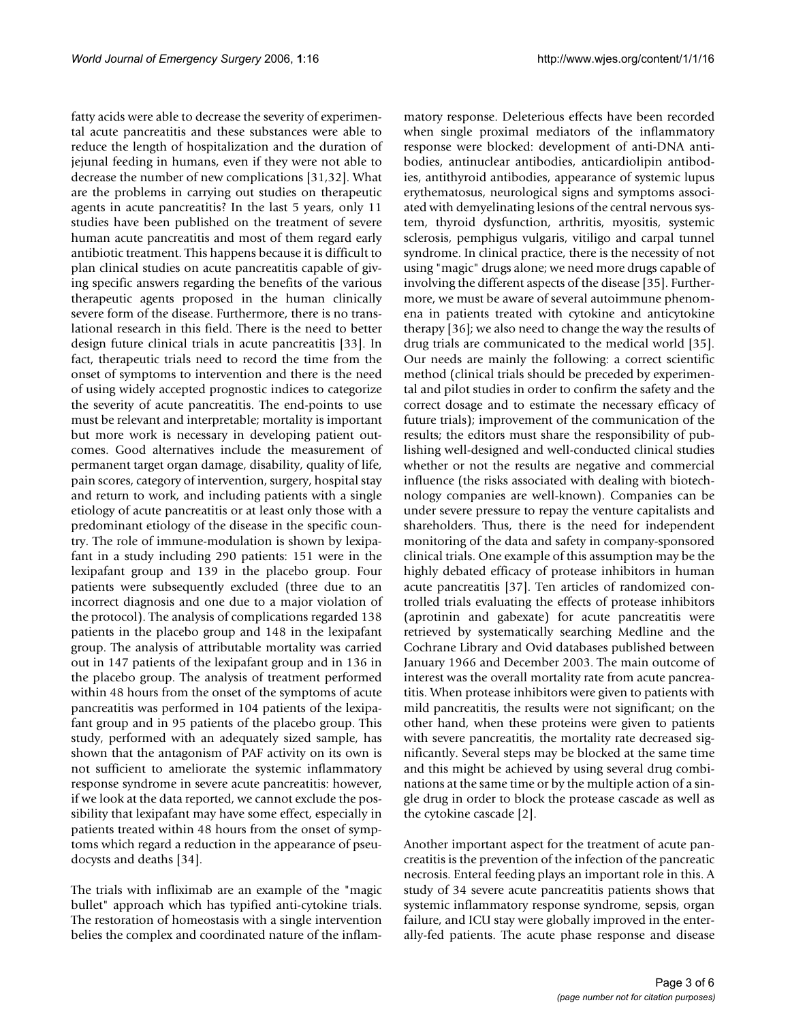fatty acids were able to decrease the severity of experimental acute pancreatitis and these substances were able to reduce the length of hospitalization and the duration of jejunal feeding in humans, even if they were not able to decrease the number of new complications [31,32]. What are the problems in carrying out studies on therapeutic agents in acute pancreatitis? In the last 5 years, only 11 studies have been published on the treatment of severe human acute pancreatitis and most of them regard early antibiotic treatment. This happens because it is difficult to plan clinical studies on acute pancreatitis capable of giving specific answers regarding the benefits of the various therapeutic agents proposed in the human clinically severe form of the disease. Furthermore, there is no translational research in this field. There is the need to better design future clinical trials in acute pancreatitis [33]. In fact, therapeutic trials need to record the time from the onset of symptoms to intervention and there is the need of using widely accepted prognostic indices to categorize the severity of acute pancreatitis. The end-points to use must be relevant and interpretable; mortality is important but more work is necessary in developing patient outcomes. Good alternatives include the measurement of permanent target organ damage, disability, quality of life, pain scores, category of intervention, surgery, hospital stay and return to work, and including patients with a single etiology of acute pancreatitis or at least only those with a predominant etiology of the disease in the specific country. The role of immune-modulation is shown by lexipafant in a study including 290 patients: 151 were in the lexipafant group and 139 in the placebo group. Four patients were subsequently excluded (three due to an incorrect diagnosis and one due to a major violation of the protocol). The analysis of complications regarded 138 patients in the placebo group and 148 in the lexipafant group. The analysis of attributable mortality was carried out in 147 patients of the lexipafant group and in 136 in the placebo group. The analysis of treatment performed within 48 hours from the onset of the symptoms of acute pancreatitis was performed in 104 patients of the lexipafant group and in 95 patients of the placebo group. This study, performed with an adequately sized sample, has shown that the antagonism of PAF activity on its own is not sufficient to ameliorate the systemic inflammatory response syndrome in severe acute pancreatitis: however, if we look at the data reported, we cannot exclude the possibility that lexipafant may have some effect, especially in patients treated within 48 hours from the onset of symptoms which regard a reduction in the appearance of pseudocysts and deaths [34].

The trials with infliximab are an example of the "magic bullet" approach which has typified anti-cytokine trials. The restoration of homeostasis with a single intervention belies the complex and coordinated nature of the inflammatory response. Deleterious effects have been recorded when single proximal mediators of the inflammatory response were blocked: development of anti-DNA antibodies, antinuclear antibodies, anticardiolipin antibodies, antithyroid antibodies, appearance of systemic lupus erythematosus, neurological signs and symptoms associated with demyelinating lesions of the central nervous system, thyroid dysfunction, arthritis, myositis, systemic sclerosis, pemphigus vulgaris, vitiligo and carpal tunnel syndrome. In clinical practice, there is the necessity of not using "magic" drugs alone; we need more drugs capable of involving the different aspects of the disease [35]. Furthermore, we must be aware of several autoimmune phenomena in patients treated with cytokine and anticytokine therapy [36]; we also need to change the way the results of drug trials are communicated to the medical world [35]. Our needs are mainly the following: a correct scientific method (clinical trials should be preceded by experimental and pilot studies in order to confirm the safety and the correct dosage and to estimate the necessary efficacy of future trials); improvement of the communication of the results; the editors must share the responsibility of publishing well-designed and well-conducted clinical studies whether or not the results are negative and commercial influence (the risks associated with dealing with biotechnology companies are well-known). Companies can be under severe pressure to repay the venture capitalists and shareholders. Thus, there is the need for independent monitoring of the data and safety in company-sponsored clinical trials. One example of this assumption may be the highly debated efficacy of protease inhibitors in human acute pancreatitis [37]. Ten articles of randomized controlled trials evaluating the effects of protease inhibitors (aprotinin and gabexate) for acute pancreatitis were retrieved by systematically searching Medline and the Cochrane Library and Ovid databases published between January 1966 and December 2003. The main outcome of interest was the overall mortality rate from acute pancreatitis. When protease inhibitors were given to patients with mild pancreatitis, the results were not significant; on the other hand, when these proteins were given to patients with severe pancreatitis, the mortality rate decreased significantly. Several steps may be blocked at the same time and this might be achieved by using several drug combinations at the same time or by the multiple action of a single drug in order to block the protease cascade as well as the cytokine cascade [2].

Another important aspect for the treatment of acute pancreatitis is the prevention of the infection of the pancreatic necrosis. Enteral feeding plays an important role in this. A study of 34 severe acute pancreatitis patients shows that systemic inflammatory response syndrome, sepsis, organ failure, and ICU stay were globally improved in the enterally-fed patients. The acute phase response and disease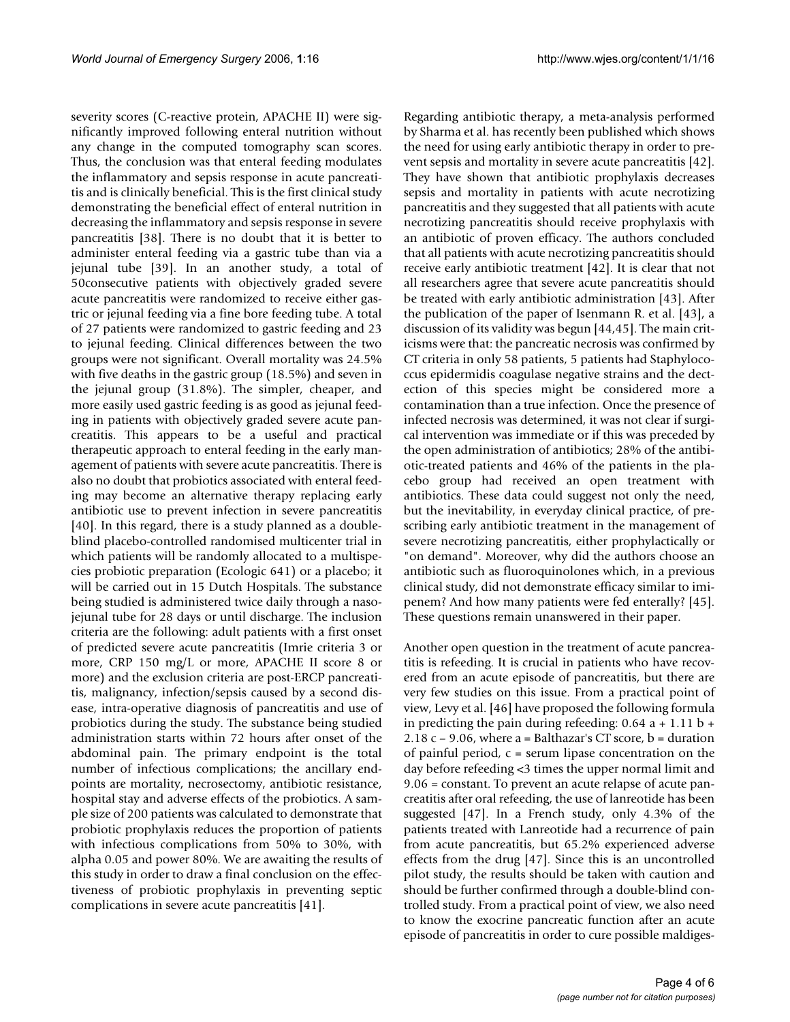severity scores (C-reactive protein, APACHE II) were significantly improved following enteral nutrition without any change in the computed tomography scan scores. Thus, the conclusion was that enteral feeding modulates the inflammatory and sepsis response in acute pancreatitis and is clinically beneficial. This is the first clinical study demonstrating the beneficial effect of enteral nutrition in decreasing the inflammatory and sepsis response in severe pancreatitis [38]. There is no doubt that it is better to administer enteral feeding via a gastric tube than via a jejunal tube [39]. In an another study, a total of 50consecutive patients with objectively graded severe acute pancreatitis were randomized to receive either gastric or jejunal feeding via a fine bore feeding tube. A total of 27 patients were randomized to gastric feeding and 23 to jejunal feeding. Clinical differences between the two groups were not significant. Overall mortality was 24.5% with five deaths in the gastric group (18.5%) and seven in the jejunal group (31.8%). The simpler, cheaper, and more easily used gastric feeding is as good as jejunal feeding in patients with objectively graded severe acute pancreatitis. This appears to be a useful and practical therapeutic approach to enteral feeding in the early management of patients with severe acute pancreatitis. There is also no doubt that probiotics associated with enteral feeding may become an alternative therapy replacing early antibiotic use to prevent infection in severe pancreatitis [40]. In this regard, there is a study planned as a doubleblind placebo-controlled randomised multicenter trial in which patients will be randomly allocated to a multispecies probiotic preparation (Ecologic 641) or a placebo; it will be carried out in 15 Dutch Hospitals. The substance being studied is administered twice daily through a nasojejunal tube for 28 days or until discharge. The inclusion criteria are the following: adult patients with a first onset of predicted severe acute pancreatitis (Imrie criteria 3 or more, CRP 150 mg/L or more, APACHE II score 8 or more) and the exclusion criteria are post-ERCP pancreatitis, malignancy, infection/sepsis caused by a second disease, intra-operative diagnosis of pancreatitis and use of probiotics during the study. The substance being studied administration starts within 72 hours after onset of the abdominal pain. The primary endpoint is the total number of infectious complications; the ancillary endpoints are mortality, necrosectomy, antibiotic resistance, hospital stay and adverse effects of the probiotics. A sample size of 200 patients was calculated to demonstrate that probiotic prophylaxis reduces the proportion of patients with infectious complications from 50% to 30%, with alpha 0.05 and power 80%. We are awaiting the results of this study in order to draw a final conclusion on the effectiveness of probiotic prophylaxis in preventing septic complications in severe acute pancreatitis [41].

Regarding antibiotic therapy, a meta-analysis performed by Sharma et al. has recently been published which shows the need for using early antibiotic therapy in order to prevent sepsis and mortality in severe acute pancreatitis [42]. They have shown that antibiotic prophylaxis decreases sepsis and mortality in patients with acute necrotizing pancreatitis and they suggested that all patients with acute necrotizing pancreatitis should receive prophylaxis with an antibiotic of proven efficacy. The authors concluded that all patients with acute necrotizing pancreatitis should receive early antibiotic treatment [42]. It is clear that not all researchers agree that severe acute pancreatitis should be treated with early antibiotic administration [43]. After the publication of the paper of Isenmann R. et al. [43], a discussion of its validity was begun [44,45]. The main criticisms were that: the pancreatic necrosis was confirmed by CT criteria in only 58 patients, 5 patients had Staphylococcus epidermidis coagulase negative strains and the dectection of this species might be considered more a contamination than a true infection. Once the presence of infected necrosis was determined, it was not clear if surgical intervention was immediate or if this was preceded by the open administration of antibiotics; 28% of the antibiotic-treated patients and 46% of the patients in the placebo group had received an open treatment with antibiotics. These data could suggest not only the need, but the inevitability, in everyday clinical practice, of prescribing early antibiotic treatment in the management of severe necrotizing pancreatitis, either prophylactically or "on demand". Moreover, why did the authors choose an antibiotic such as fluoroquinolones which, in a previous clinical study, did not demonstrate efficacy similar to imipenem? And how many patients were fed enterally? [45]. These questions remain unanswered in their paper.

Another open question in the treatment of acute pancreatitis is refeeding. It is crucial in patients who have recovered from an acute episode of pancreatitis, but there are very few studies on this issue. From a practical point of view, Levy et al. [46] have proposed the following formula in predicting the pain during refeeding:  $0.64$  a +  $1.11$  b + 2.18 c – 9.06, where a = Balthazar's CT score,  $b =$  duration of painful period,  $c =$  serum lipase concentration on the day before refeeding <3 times the upper normal limit and 9.06 = constant. To prevent an acute relapse of acute pancreatitis after oral refeeding, the use of lanreotide has been suggested [47]. In a French study, only 4.3% of the patients treated with Lanreotide had a recurrence of pain from acute pancreatitis, but 65.2% experienced adverse effects from the drug [47]. Since this is an uncontrolled pilot study, the results should be taken with caution and should be further confirmed through a double-blind controlled study. From a practical point of view, we also need to know the exocrine pancreatic function after an acute episode of pancreatitis in order to cure possible maldiges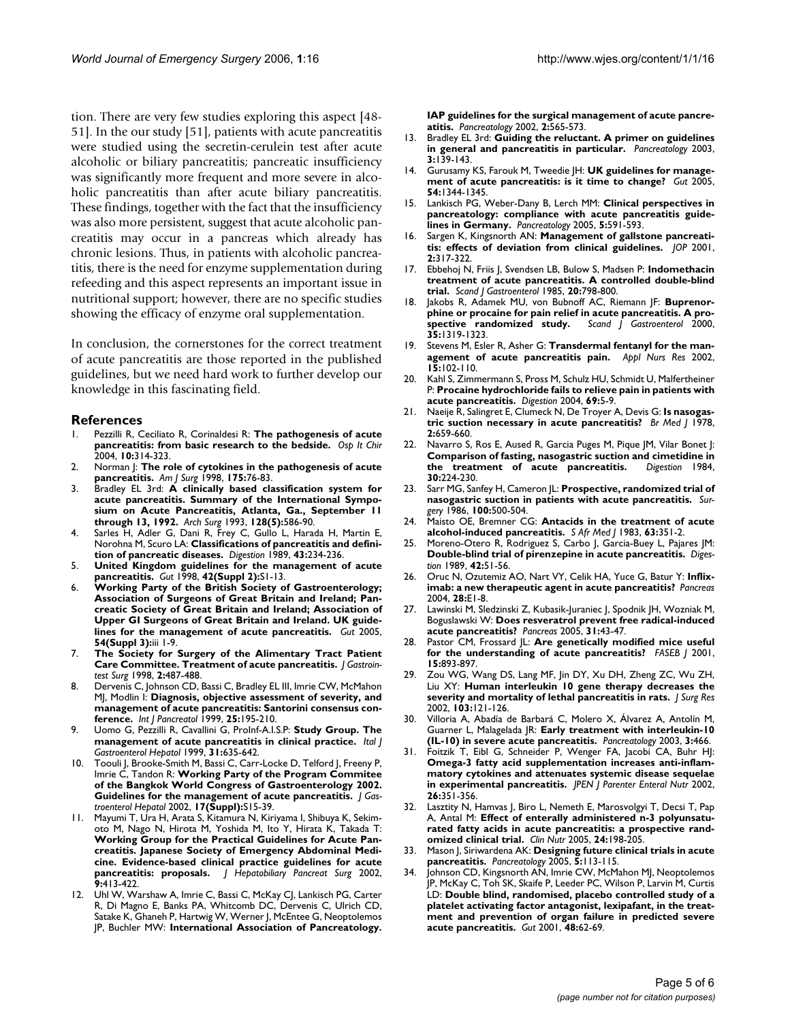tion. There are very few studies exploring this aspect [48- 51]. In the our study [51], patients with acute pancreatitis were studied using the secretin-cerulein test after acute alcoholic or biliary pancreatitis; pancreatic insufficiency was significantly more frequent and more severe in alcoholic pancreatitis than after acute biliary pancreatitis. These findings, together with the fact that the insufficiency was also more persistent, suggest that acute alcoholic pancreatitis may occur in a pancreas which already has chronic lesions. Thus, in patients with alcoholic pancreatitis, there is the need for enzyme supplementation during refeeding and this aspect represents an important issue in nutritional support; however, there are no specific studies showing the efficacy of enzyme oral supplementation.

In conclusion, the cornerstones for the correct treatment of acute pancreatitis are those reported in the published guidelines, but we need hard work to further develop our knowledge in this fascinating field.

#### **References**

- 1. Pezzilli R, Ceciliato R, Corinaldesi R: **The pathogenesis of acute pancreatitis: from basic research to the bedside.** *Osp It Chir* 2004, **10:**314-323.
- 2. Norman J: **[The role of cytokines in the pathogenesis of acute](http://www.ncbi.nlm.nih.gov/entrez/query.fcgi?cmd=Retrieve&db=PubMed&dopt=Abstract&list_uids=9445247) [pancreatitis.](http://www.ncbi.nlm.nih.gov/entrez/query.fcgi?cmd=Retrieve&db=PubMed&dopt=Abstract&list_uids=9445247)** *Am J Surg* 1998, **175:**76-83.
- 3. Bradley EL 3rd: **[A clinically based classification system for](http://www.ncbi.nlm.nih.gov/entrez/query.fcgi?cmd=Retrieve&db=PubMed&dopt=Abstract&list_uids=8489394) acute pancreatitis. Summary of the International Sympo[sium on Acute Pancreatitis, Atlanta, Ga., September 11](http://www.ncbi.nlm.nih.gov/entrez/query.fcgi?cmd=Retrieve&db=PubMed&dopt=Abstract&list_uids=8489394) [through 13, 1992.](http://www.ncbi.nlm.nih.gov/entrez/query.fcgi?cmd=Retrieve&db=PubMed&dopt=Abstract&list_uids=8489394)** *Arch Surg* 1993, **128(5):**586-90.
- 4. Sarles H, Adler G, Dani R, Frey C, Gullo L, Harada H, Martin E, Norohna M, Scuro LA: **[Classifications of pancreatitis and defini](http://www.ncbi.nlm.nih.gov/entrez/query.fcgi?cmd=Retrieve&db=PubMed&dopt=Abstract&list_uids=2612747)[tion of pancreatic diseases.](http://www.ncbi.nlm.nih.gov/entrez/query.fcgi?cmd=Retrieve&db=PubMed&dopt=Abstract&list_uids=2612747)** *Digestion* 1989, **43:**234-236.
- <span id="page-4-0"></span>5. **[United Kingdom guidelines for the management of acute](http://www.ncbi.nlm.nih.gov/entrez/query.fcgi?cmd=Retrieve&db=PubMed&dopt=Abstract&list_uids=9764029) [pancreatitis.](http://www.ncbi.nlm.nih.gov/entrez/query.fcgi?cmd=Retrieve&db=PubMed&dopt=Abstract&list_uids=9764029)** *Gut* 1998, **42(Suppl 2):**S1-13.
- 6. **Working Party of the British Society of Gastroenterology; Association of Surgeons of Great Britain and Ireland; Pancreatic Society of Great Britain and Ireland; Association of Upper GI Surgeons of Great Britain and Ireland. UK guidelines for the management of acute pancreatitis.** *Gut* 2005, **54(Suppl 3):**iii 1-9.
- 7. **[The Society for Surgery of the Alimentary Tract Patient](http://www.ncbi.nlm.nih.gov/entrez/query.fcgi?cmd=Retrieve&db=PubMed&dopt=Abstract&list_uids=9935328) [Care Committee. Treatment of acute pancreatitis.](http://www.ncbi.nlm.nih.gov/entrez/query.fcgi?cmd=Retrieve&db=PubMed&dopt=Abstract&list_uids=9935328)** *J Gastrointest Surg* 1998, **2:**487-488.
- Dervenis C, Johnson CD, Bassi C, Bradley EL III, Imrie CW, McMahon MJ, Modlin I: **[Diagnosis, objective assessment of severity, and](http://www.ncbi.nlm.nih.gov/entrez/query.fcgi?cmd=Retrieve&db=PubMed&dopt=Abstract&list_uids=10453421) [management of acute pancreatitis: Santorini consensus con](http://www.ncbi.nlm.nih.gov/entrez/query.fcgi?cmd=Retrieve&db=PubMed&dopt=Abstract&list_uids=10453421)[ference.](http://www.ncbi.nlm.nih.gov/entrez/query.fcgi?cmd=Retrieve&db=PubMed&dopt=Abstract&list_uids=10453421)** *Int J Pancreatol* 1999, **25:**195-210.
- 9. Uomo G, Pezzilli R, Cavallini G, ProInf-A.I.S.P: **[Study Group. The](http://www.ncbi.nlm.nih.gov/entrez/query.fcgi?cmd=Retrieve&db=PubMed&dopt=Abstract&list_uids=10604108) [management of acute pancreatitis in clinical practice.](http://www.ncbi.nlm.nih.gov/entrez/query.fcgi?cmd=Retrieve&db=PubMed&dopt=Abstract&list_uids=10604108)** *Ital J Gastroenterol Hepatol* 1999, **31:**635-642.
- 10. Toouli J, Brooke-Smith M, Bassi C, Carr-Locke D, Telford J, Freeny P, Imrie C, Tandon R: **[Working Party of the Program Commitee](http://www.ncbi.nlm.nih.gov/entrez/query.fcgi?cmd=Retrieve&db=PubMed&dopt=Abstract&list_uids=12000591) [of the Bangkok World Congress of Gastroenterology 2002.](http://www.ncbi.nlm.nih.gov/entrez/query.fcgi?cmd=Retrieve&db=PubMed&dopt=Abstract&list_uids=12000591) [Guidelines for the management of acute pancreatitis.](http://www.ncbi.nlm.nih.gov/entrez/query.fcgi?cmd=Retrieve&db=PubMed&dopt=Abstract&list_uids=12000591)** *J Gastroenterol Hepatol* 2002, **17(Suppl):**S15-39.
- 11. Mayumi T, Ura H, Arata S, Kitamura N, Kiriyama I, Shibuya K, Sekimoto M, Nago N, Hirota M, Yoshida M, Ito Y, Hirata K, Takada T: **Working Group for the Practical Guidelines for Acute Pan[creatitis. Japanese Society of Emergency Abdominal Medi](http://www.ncbi.nlm.nih.gov/entrez/query.fcgi?cmd=Retrieve&db=PubMed&dopt=Abstract&list_uids=12483262)cine. Evidence-based clinical practice guidelines for acute [pancreatitis: proposals.](http://www.ncbi.nlm.nih.gov/entrez/query.fcgi?cmd=Retrieve&db=PubMed&dopt=Abstract&list_uids=12483262)** *J Hepatobiliary Pancreat Surg* 2002, **9:**413-422.
- 12. Uhl W, Warshaw A, Imrie C, Bassi C, McKay CJ, Lankisch PG, Carter R, Di Magno E, Banks PA, Whitcomb DC, Dervenis C, Ulrich CD, Satake K, Ghaneh P, Hartwig W, Werner J, McEntee G, Neoptolemos JP, Buchler MW: **[International Association of Pancreatology.](http://www.ncbi.nlm.nih.gov/entrez/query.fcgi?cmd=Retrieve&db=PubMed&dopt=Abstract&list_uids=12435871)**

**[IAP guidelines for the surgical management of acute pancre](http://www.ncbi.nlm.nih.gov/entrez/query.fcgi?cmd=Retrieve&db=PubMed&dopt=Abstract&list_uids=12435871)[atitis.](http://www.ncbi.nlm.nih.gov/entrez/query.fcgi?cmd=Retrieve&db=PubMed&dopt=Abstract&list_uids=12435871)** *Pancreatology* 2002, **2:**565-573.

- 13. Bradley EL 3rd: **[Guiding the reluctant. A primer on guidelines](http://www.ncbi.nlm.nih.gov/entrez/query.fcgi?cmd=Retrieve&db=PubMed&dopt=Abstract&list_uids=12748422) [in general and pancreatitis in particular.](http://www.ncbi.nlm.nih.gov/entrez/query.fcgi?cmd=Retrieve&db=PubMed&dopt=Abstract&list_uids=12748422)** *Pancreatology* 2003, **3:**139-143.
- 14. Gurusamy KS, Farouk M, Tweedie JH: **[UK guidelines for manage](http://www.ncbi.nlm.nih.gov/entrez/query.fcgi?cmd=Retrieve&db=PubMed&dopt=Abstract&list_uids=16099804)[ment of acute pancreatitis: is it time to change?](http://www.ncbi.nlm.nih.gov/entrez/query.fcgi?cmd=Retrieve&db=PubMed&dopt=Abstract&list_uids=16099804)** *Gut* 2005, **54:**1344-1345.
- 15. Lankisch PG, Weber-Dany B, Lerch MM: **[Clinical perspectives in](http://www.ncbi.nlm.nih.gov/entrez/query.fcgi?cmd=Retrieve&db=PubMed&dopt=Abstract&list_uids=16110257) [pancreatology: compliance with acute pancreatitis guide](http://www.ncbi.nlm.nih.gov/entrez/query.fcgi?cmd=Retrieve&db=PubMed&dopt=Abstract&list_uids=16110257)[lines in Germany.](http://www.ncbi.nlm.nih.gov/entrez/query.fcgi?cmd=Retrieve&db=PubMed&dopt=Abstract&list_uids=16110257)** *Pancreatology* 2005, **5:**591-593.
- 16. Sargen K, Kingsnorth AN: **[Management of gallstone pancreati](http://www.ncbi.nlm.nih.gov/entrez/query.fcgi?cmd=Retrieve&db=PubMed&dopt=Abstract&list_uids=11877542)[tis: effects of deviation from clinical guidelines.](http://www.ncbi.nlm.nih.gov/entrez/query.fcgi?cmd=Retrieve&db=PubMed&dopt=Abstract&list_uids=11877542)** *JOP* 2001, **2:**317-322.
- 17. Ebbehoj N, Friis J, Svendsen LB, Bulow S, Madsen P: **[Indomethacin](http://www.ncbi.nlm.nih.gov/entrez/query.fcgi?cmd=Retrieve&db=PubMed&dopt=Abstract&list_uids=2413519) [treatment of acute pancreatitis. A controlled double-blind](http://www.ncbi.nlm.nih.gov/entrez/query.fcgi?cmd=Retrieve&db=PubMed&dopt=Abstract&list_uids=2413519) [trial.](http://www.ncbi.nlm.nih.gov/entrez/query.fcgi?cmd=Retrieve&db=PubMed&dopt=Abstract&list_uids=2413519)** *Scand J Gastroenterol* 1985, **20:**798-800.
- 18. Jakobs R, Adamek MU, von Bubnoff AC, Riemann JF: **[Buprenor](http://www.ncbi.nlm.nih.gov/entrez/query.fcgi?cmd=Retrieve&db=PubMed&dopt=Abstract&list_uids=11199374)phine or procaine for pain relief in acute pancreatitis. A pro-<br>spective randomized study.** Scand | Gastroenterol 2000,  $s$ pective randomized study. **35:**1319-1323.
- 19. Stevens M, Esler R, Asher G: **[Transdermal fentanyl for the man](http://www.ncbi.nlm.nih.gov/entrez/query.fcgi?cmd=Retrieve&db=PubMed&dopt=Abstract&list_uids=11994827)[agement of acute pancreatitis pain.](http://www.ncbi.nlm.nih.gov/entrez/query.fcgi?cmd=Retrieve&db=PubMed&dopt=Abstract&list_uids=11994827)** *Appl Nurs Res* 2002, **15:**102-110.
- 20. Kahl S, Zimmermann S, Pross M, Schulz HU, Schmidt U, Malfertheiner P: **[Procaine hydrochloride fails to relieve pain in patients with](http://www.ncbi.nlm.nih.gov/entrez/query.fcgi?cmd=Retrieve&db=PubMed&dopt=Abstract&list_uids=14755147) [acute pancreatitis.](http://www.ncbi.nlm.nih.gov/entrez/query.fcgi?cmd=Retrieve&db=PubMed&dopt=Abstract&list_uids=14755147)** *Digestion* 2004, **69:**5-9.
- 21. Naeije R, Salingret E, Clumeck N, De Troyer A, Devis G: **[Is nasogas](http://www.ncbi.nlm.nih.gov/entrez/query.fcgi?cmd=Retrieve&db=PubMed&dopt=Abstract&list_uids=698650)[tric suction necessary in acute pancreatitis?](http://www.ncbi.nlm.nih.gov/entrez/query.fcgi?cmd=Retrieve&db=PubMed&dopt=Abstract&list_uids=698650)** *Br Med J* 1978, **2:**659-660.
- 22. Navarro S, Ros E, Aused R, Garcia Puges M, Pique JM, Vilar Bonet J: **[Comparison of fasting, nasogastric suction and cimetidine in](http://www.ncbi.nlm.nih.gov/entrez/query.fcgi?cmd=Retrieve&db=PubMed&dopt=Abstract&list_uids=6391981)** [the treatment of acute pancreatitis.](http://www.ncbi.nlm.nih.gov/entrez/query.fcgi?cmd=Retrieve&db=PubMed&dopt=Abstract&list_uids=6391981) **30:**224-230.
- 23. Sarr MG, Sanfey H, Cameron JL: **[Prospective, randomized trial of](http://www.ncbi.nlm.nih.gov/entrez/query.fcgi?cmd=Retrieve&db=PubMed&dopt=Abstract&list_uids=3526610) [nasogastric suction in patients with acute pancreatitis.](http://www.ncbi.nlm.nih.gov/entrez/query.fcgi?cmd=Retrieve&db=PubMed&dopt=Abstract&list_uids=3526610)** *Surgery* 1986, **100:**500-504.
- 24. Maisto OE, Bremner CG: **[Antacids in the treatment of acute](http://www.ncbi.nlm.nih.gov/entrez/query.fcgi?cmd=Retrieve&db=PubMed&dopt=Abstract&list_uids=6828933) [alcohol-induced pancreatitis.](http://www.ncbi.nlm.nih.gov/entrez/query.fcgi?cmd=Retrieve&db=PubMed&dopt=Abstract&list_uids=6828933)** *S Afr Med J* 1983, **63:**351-2.
- 25. Moreno-Otero R, Rodriguez S, Carbo J, Garcia-Buey L, Pajares JM: **[Double-blind trial of pirenzepine in acute pancreatitis.](http://www.ncbi.nlm.nih.gov/entrez/query.fcgi?cmd=Retrieve&db=PubMed&dopt=Abstract&list_uids=2472988)** *Digestion* 1989, **42:**51-56.
- 26. Oruc N, Ozutemiz AO, Nart VY, Celik HA, Yuce G, Batur Y: **[Inflix](http://www.ncbi.nlm.nih.gov/entrez/query.fcgi?cmd=Retrieve&db=PubMed&dopt=Abstract&list_uids=14707742)[imab: a new therapeutic agent in acute pancreatitis?](http://www.ncbi.nlm.nih.gov/entrez/query.fcgi?cmd=Retrieve&db=PubMed&dopt=Abstract&list_uids=14707742)** *Pancreas* 2004, **28:**E1-8.
- 27. Lawinski M, Sledzinski Z, Kubasik-Juraniec J, Spodnik JH, Wozniak M, Boguslawski W: **[Does resveratrol prevent free radical-induced](http://www.ncbi.nlm.nih.gov/entrez/query.fcgi?cmd=Retrieve&db=PubMed&dopt=Abstract&list_uids=15968246) [acute pancreatitis?](http://www.ncbi.nlm.nih.gov/entrez/query.fcgi?cmd=Retrieve&db=PubMed&dopt=Abstract&list_uids=15968246)** *Pancreas* 2005, **31:**43-47.
- 28. Pastor CM, Frossard JL: **[Are genetically modified mice useful](http://www.ncbi.nlm.nih.gov/entrez/query.fcgi?cmd=Retrieve&db=PubMed&dopt=Abstract&list_uids=11292648) [for the understanding of acute pancreatitis?](http://www.ncbi.nlm.nih.gov/entrez/query.fcgi?cmd=Retrieve&db=PubMed&dopt=Abstract&list_uids=11292648)** *FASEB J* 2001, **15:**893-897.
- 29. Zou WG, Wang DS, Lang MF, Jin DY, Xu DH, Zheng ZC, Wu ZH, Liu XY: **[Human interleukin 10 gene therapy decreases the](http://www.ncbi.nlm.nih.gov/entrez/query.fcgi?cmd=Retrieve&db=PubMed&dopt=Abstract&list_uids=11855927) [severity and mortality of lethal pancreatitis in rats.](http://www.ncbi.nlm.nih.gov/entrez/query.fcgi?cmd=Retrieve&db=PubMed&dopt=Abstract&list_uids=11855927)** *J Surg Res* 2002, **103:**121-126.
- 30. Villoria A, Abadía de Barbará C, Molero X, Álvarez A, Antolín M, Guarner L, Malagelada JR: **Early treatment with interleukin-10 (IL-10) in severe acute pancreatitis.** *Pancreatology* 2003, **3:**466.
- 31. Foitzik T, Eibl G, Schneider P, Wenger FA, Jacobi CA, Buhr HJ: **Omega-3 fatty acid supplementation increases anti-inflam[matory cytokines and attenuates systemic disease sequelae](http://www.ncbi.nlm.nih.gov/entrez/query.fcgi?cmd=Retrieve&db=PubMed&dopt=Abstract&list_uids=12405646) [in experimental pancreatitis.](http://www.ncbi.nlm.nih.gov/entrez/query.fcgi?cmd=Retrieve&db=PubMed&dopt=Abstract&list_uids=12405646)** *JPEN J Parenter Enteral Nutr* 2002, **26:**351-356.
- 32. Lasztity N, Hamvas J, Biro L, Nemeth E, Marosvolgyi T, Decsi T, Pap A, Antal M: **[Effect of enterally administered n-3 polyunsatu](http://www.ncbi.nlm.nih.gov/entrez/query.fcgi?cmd=Retrieve&db=PubMed&dopt=Abstract&list_uids=15784478)[rated fatty acids in acute pancreatitis: a prospective rand](http://www.ncbi.nlm.nih.gov/entrez/query.fcgi?cmd=Retrieve&db=PubMed&dopt=Abstract&list_uids=15784478)[omized clinical trial.](http://www.ncbi.nlm.nih.gov/entrez/query.fcgi?cmd=Retrieve&db=PubMed&dopt=Abstract&list_uids=15784478)** *Clin Nutr* 2005, **24:**198-205.
- 33. Mason J, Siriwardena AK: **[Designing future clinical trials in acute](http://www.ncbi.nlm.nih.gov/entrez/query.fcgi?cmd=Retrieve&db=PubMed&dopt=Abstract&list_uids=15849481) [pancreatitis.](http://www.ncbi.nlm.nih.gov/entrez/query.fcgi?cmd=Retrieve&db=PubMed&dopt=Abstract&list_uids=15849481)** *Pancreatology* 2005, **5:**113-115.
- 34. Johnson CD, Kingsnorth AN, Imrie CW, McMahon MJ, Neoptolemos JP, McKay C, Toh SK, Skaife P, Leeder PC, Wilson P, Larvin M, Curtis LD: **[Double blind, randomised, placebo controlled study of a](http://www.ncbi.nlm.nih.gov/entrez/query.fcgi?cmd=Retrieve&db=PubMed&dopt=Abstract&list_uids=11115824) platelet activating factor antagonist, lexipafant, in the treat[ment and prevention of organ failure in predicted severe](http://www.ncbi.nlm.nih.gov/entrez/query.fcgi?cmd=Retrieve&db=PubMed&dopt=Abstract&list_uids=11115824) [acute pancreatitis.](http://www.ncbi.nlm.nih.gov/entrez/query.fcgi?cmd=Retrieve&db=PubMed&dopt=Abstract&list_uids=11115824)** *Gut* 2001, **48:**62-69.